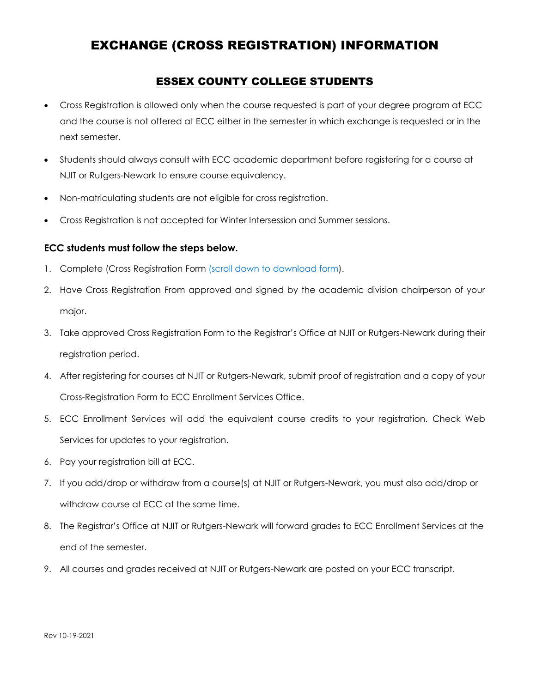## EXCHANGE (CROSS REGISTRATION) INFORMATION

## ESSEX COUNTY COLLEGE STUDENTS

- Cross Registration is allowed only when the course requested is part of your degree program at ECC and the course is not offered at ECC either in the semester in which exchange is requested or in the next semester.
- Students should always consult with ECC academic department before registering for a course at NJIT or Rutgers-Newark to ensure course equivalency.
- Non-matriculating students are not eligible for cross registration.
- Cross Registration is not accepted for Winter Intersession and Summer sessions.

## **ECC students must follow the steps below.**

- 1. Complete (Cross Registration Form (scroll down to download form).
- 2. Have Cross Registration From approved and signed by the academic division chairperson of your major.
- 3. Take approved Cross Registration Form to the Registrar's Office at NJIT or Rutgers-Newark during their registration period.
- 4. After registering for courses at NJIT or Rutgers-Newark, submit proof of registration and a copy of your Cross-Registration Form to ECC Enrollment Services Office.
- 5. ECC Enrollment Services will add the equivalent course credits to your registration. Check Web Services for updates to your registration.
- 6. Pay your registration bill at ECC.
- 7. If you add/drop or withdraw from a course(s) at NJIT or Rutgers-Newark, you must also add/drop or withdraw course at ECC at the same time.
- 8. The Registrar's Office at NJIT or Rutgers-Newark will forward grades to ECC Enrollment Services at the end of the semester.
- 9. All courses and grades received at NJIT or Rutgers-Newark are posted on your ECC transcript.